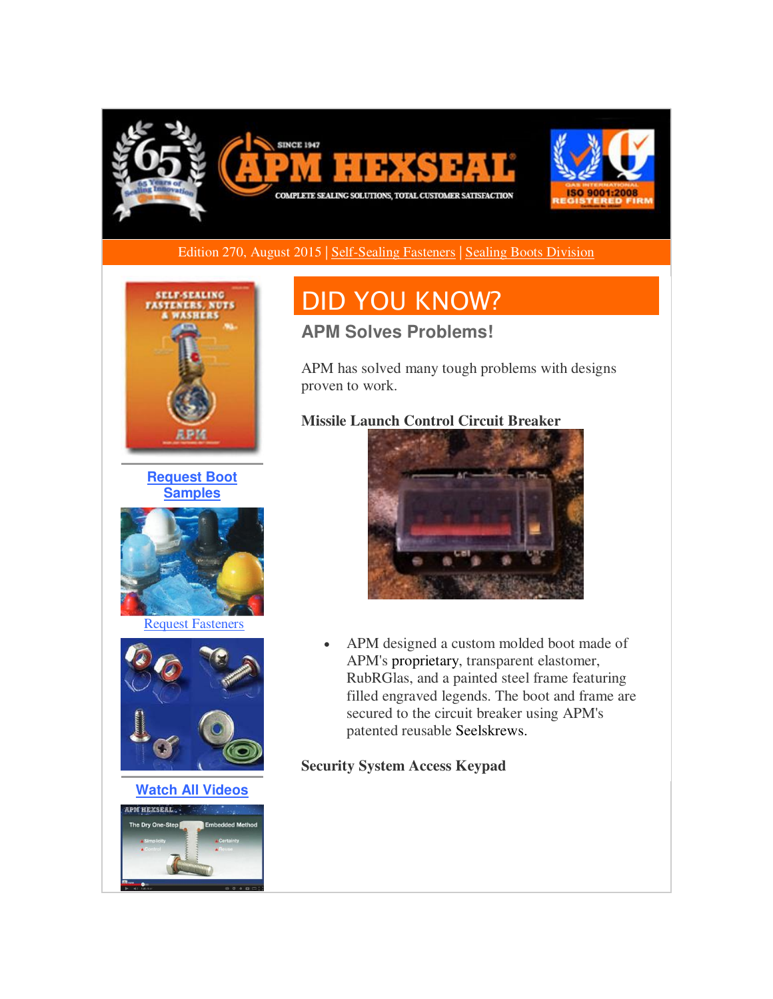

Edition 270, August 2015 | [Self-Sealing Fasteners](http://r20.rs6.net/tn.jsp?f=001AWtCN9PGYxEVsKQdvlUR80jiijyp_sBasdjUYYlPWlo2vjli6KIo2J-wVYXFrfAq4zHp9i3J54KZf5UaYTeuY358mIPwMZ87l4rMqYHm2OTgB22uQ0BNTUaOCjBNXJqXjuicKerEw4zFzOEJ12wr89y7KFhUdInm1rjkIkW0ddfkLR1l5zlx3df7ZBcm-shJElG2BtX_d_K7wcfpW9vvdcFIX4O-JYJ1nshbBiWzHgfA860VsDKsVaf7vpaiXQIyvTknK0oHXuLS6dev-Ibk4AR2qxL142wWUWe8c3_21H3mzGhAanxmrH3o5YPBQcXCuOv2F5p9yDFkExG9AuTC7Q==&c=wQlWB-liuLxTGeLbaGgAM-XCnwChpc27ojt91lIvxB8piiyrzF9x1A==&ch=JqKUfu7Y-DD71Ybi9YoY4dTQTLoJao5-WWayGW5Re8Hq_c8DojVtHw==) | [Sealing Boots Division](http://r20.rs6.net/tn.jsp?f=001AWtCN9PGYxEVsKQdvlUR80jiijyp_sBasdjUYYlPWlo2vjli6KIo2J-wVYXFrfAqPc3_5oxMREge1g5599aSPIsu-FuwgMUVVY6rpvgPPCsTUNmangBD8zsd9dRPEW9rGJQ8Zo2dhm7GXAFFeOwXTsaDmnURYBNrdGz6uyxV17rYjq3qM7X-dkzgB5C-kG_z8LlzM3-wWrCpf37J7zowdFwPYKCg8fMW5JOQo7RKR0AnBU0hke9RztW3GmtTrknSe1Wl4ewvhphiatPBt-cFfeLatLJYbFqIuuVW7Hq-d2HT9tESuV1ddK5tqYn3nV5G_EBS0NOG0Eo=&c=wQlWB-liuLxTGeLbaGgAM-XCnwChpc27ojt91lIvxB8piiyrzF9x1A==&ch=JqKUfu7Y-DD71Ybi9YoY4dTQTLoJao5-WWayGW5Re8Hq_c8DojVtHw==) 



**[Request Boot](http://r20.rs6.net/tn.jsp?f=001AWtCN9PGYxEVsKQdvlUR80jiijyp_sBasdjUYYlPWlo2vjli6KIo2J-wVYXFrfAqNHZnU3EvXERk5qEUxomfUFTKK3vZCrpMDGICu_g0QAv6X8wk8oRVzGYvBso1wjHR9l1SpOBEwXPFbpuvIctygXs-iwXyjsrd5EXCWd1_O4sjrVaFvaZbycF2aSMakIzr32dakSFxNG1U-6aswynb0W-nRX5lMNsk4c6dJ2MeGn88o0Wy5h6gJWf5U-VmFp4n9v4ABFebaxJANYzUnNl_ukzTTrA6RmbtRKpnrMm7KJIjc2NGRmY5UN6rO1qLPjTA784K4JLhf2em0gMSZKjzIVMHKNFjjxWn&c=wQlWB-liuLxTGeLbaGgAM-XCnwChpc27ojt91lIvxB8piiyrzF9x1A==&ch=JqKUfu7Y-DD71Ybi9YoY4dTQTLoJao5-WWayGW5Re8Hq_c8DojVtHw==)  [Samples](http://r20.rs6.net/tn.jsp?f=001AWtCN9PGYxEVsKQdvlUR80jiijyp_sBasdjUYYlPWlo2vjli6KIo2J-wVYXFrfAqNHZnU3EvXERk5qEUxomfUFTKK3vZCrpMDGICu_g0QAv6X8wk8oRVzGYvBso1wjHR9l1SpOBEwXPFbpuvIctygXs-iwXyjsrd5EXCWd1_O4sjrVaFvaZbycF2aSMakIzr32dakSFxNG1U-6aswynb0W-nRX5lMNsk4c6dJ2MeGn88o0Wy5h6gJWf5U-VmFp4n9v4ABFebaxJANYzUnNl_ukzTTrA6RmbtRKpnrMm7KJIjc2NGRmY5UN6rO1qLPjTA784K4JLhf2em0gMSZKjzIVMHKNFjjxWn&c=wQlWB-liuLxTGeLbaGgAM-XCnwChpc27ojt91lIvxB8piiyrzF9x1A==&ch=JqKUfu7Y-DD71Ybi9YoY4dTQTLoJao5-WWayGW5Re8Hq_c8DojVtHw==)**



[Request Fasteners](http://r20.rs6.net/tn.jsp?f=001AWtCN9PGYxEVsKQdvlUR80jiijyp_sBasdjUYYlPWlo2vjli6KIo2J-wVYXFrfAql7SjvHHThDOma6oOsImKGuC16rt0C2rYYC1WOZYmq4SKBtB1uXaEniO_zPROKalUBGdS1F4cpn1dmnXepOE5l0b2fEjp9yREHe3NDhAmC2jGFCN-nkJoFxsslXcQ4wpP0uf3Bpk00OYcHW1sFCsP3qE55Uw4r-lppmYi5WZxW_2hSLxOzzFHioeGvZFhdV_YdBvGaZfHTKLGN8Z5hIevGw_ETa8uPbeHJ_tPZ2972ipN1I-KNKLNn_pZQwm2iWgANzAgZ1dcggt86d3Ux1hjew==&c=wQlWB-liuLxTGeLbaGgAM-XCnwChpc27ojt91lIvxB8piiyrzF9x1A==&ch=JqKUfu7Y-DD71Ybi9YoY4dTQTLoJao5-WWayGW5Re8Hq_c8DojVtHw==)



**[Watch All Videos](http://r20.rs6.net/tn.jsp?f=001AWtCN9PGYxEVsKQdvlUR80jiijyp_sBasdjUYYlPWlo2vjli6KIo2J-wVYXFrfAqb65yoWJhRWq4fd3nIw2PqgNKdIAL31YkQ4uK3N3dEWJYoYMvLp7o20CQOG2AlR4IbxRS9ypm4jMjOAr3mSM8HxrBVYxL16u2LdHwnaceJA4mmf4fgC9M-Mu_0Vt49gHcSyYBZAhYx8tGgN_jUpBMUkkDVAsQfu6vM5CRfy8-RHOLPBcmyiJum6rM_Eq0IXzbsIRiHQLpzq3hgWFqbGNWuniMGtul5TVBDgjVGJRXLR-E8XfBfF2DrHGCCIHW86_L&c=wQlWB-liuLxTGeLbaGgAM-XCnwChpc27ojt91lIvxB8piiyrzF9x1A==&ch=JqKUfu7Y-DD71Ybi9YoY4dTQTLoJao5-WWayGW5Re8Hq_c8DojVtHw==)**



# DID YOU KNOW?

### **APM Solves Problems!**

APM has solved many tough problems with designs proven to work.

#### **Missile Launch Control Circuit Breaker**



• APM designed a custom molded boot made of APM's proprietary, transparent elastomer, RubRGlas, and a painted steel frame featuring filled engraved legends. The boot and frame are secured to the circuit breaker using APM's patented reusable Seelskrews.

#### **Security System Access Keypad**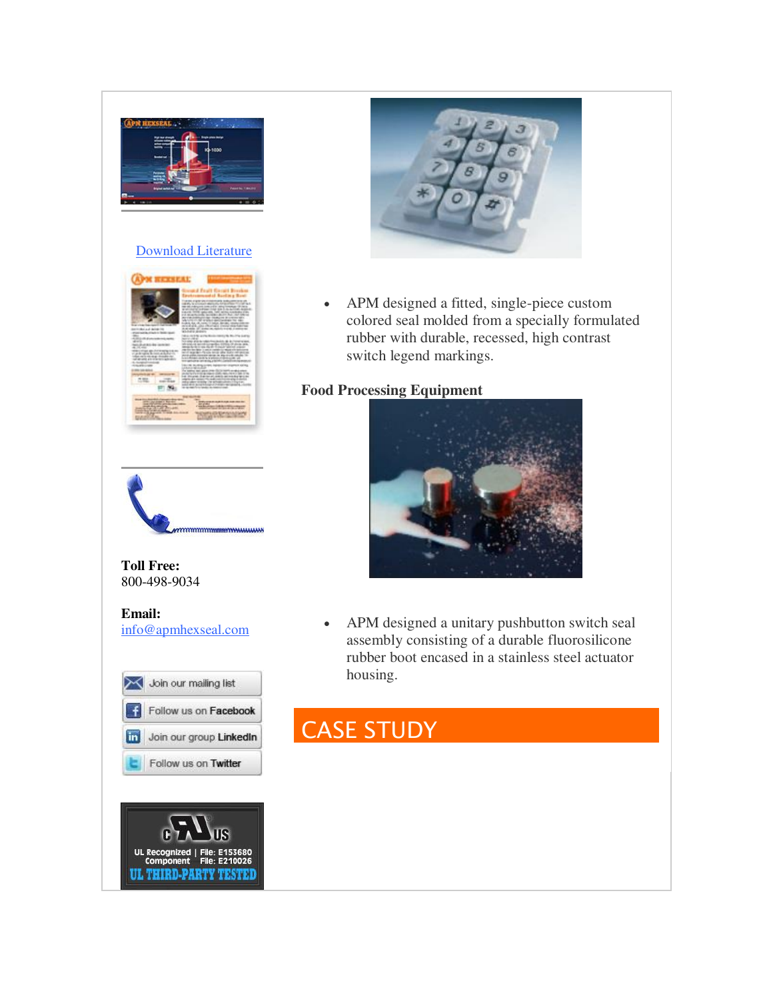

#### [Download Literature](http://r20.rs6.net/tn.jsp?f=001AWtCN9PGYxEVsKQdvlUR80jiijyp_sBasdjUYYlPWlo2vjli6KIo2J-wVYXFrfAqoRvlXMTAw2czjTcMjkE3H-Wf4GkmFX3tl_hA-uHwTYFkC0IjQHtIzGK-91TdrC8tccTRCdGPevBddRsSG3i796lssN_-DVMWpmKXeWEA6EN2CziaIRpxAAOecAm9xP7_CZhep_Qeqvsnfic7EbSzCYwtSL6oYBJpbfz92C_7B7uDnkOsAu-ILUsySCxajBuakjf9YErSaeXcN6hY1uf9EaQN7w-TlQ5TXdT5XG7w-QE-pbme6L41IzwDzhjbam2h_Mu1LGApfi4=&c=wQlWB-liuLxTGeLbaGgAM-XCnwChpc27ojt91lIvxB8piiyrzF9x1A==&ch=JqKUfu7Y-DD71Ybi9YoY4dTQTLoJao5-WWayGW5Re8Hq_c8DojVtHw==)





**Toll Free:**  800-498-9034

#### **Email:** [info@apmhexseal.com](mailto:info@apmhexseal.com)







 APM designed a fitted, single-piece custom colored seal molded from a specially formulated rubber with durable, recessed, high contrast switch legend markings.

#### **Food Processing Equipment**



 APM designed a unitary pushbutton switch seal assembly consisting of a durable fluorosilicone rubber boot encased in a stainless steel actuator housing.

## CASE STUDY